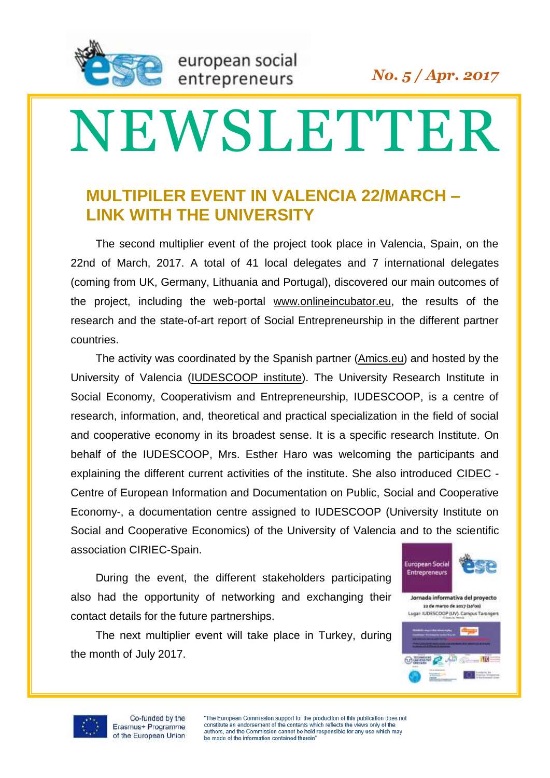

## NEWSLETTER

## **MULTIPILER EVENT IN VALENCIA 22/MARCH – LINK WITH THE UNIVERSITY**

The second multiplier event of the project took place in Valencia, Spain, on the 22nd of March, 2017. A total of 41 local delegates and 7 international delegates (coming from UK, Germany, Lithuania and Portugal), discovered our main outcomes of the project, including the web-portal [www.onlineincubator.eu,](file:///C:\Users\antonio\Dropbox\Europa\Erasmus+\1503%20KA2%20OnlineIncubator%20Allan\Erasmus%20Plus%20KA2%202015\www.onlineincubator.eu) the results of the research and the state-of-art report of Social Entrepreneurship in the different partner countries.

The activity was coordinated by the Spanish partner [\(Amics.eu\)](http://www.amics.eu/) and hosted by the University of Valencia [\(IUDESCOOP institute\)](http://www.uv.es/uvweb/university-institute-social-cooperative-economics-IUDESCOOP/en/presentation/presentation-1285893890015.html). The University Research Institute in Social Economy, Cooperativism and Entrepreneurship, IUDESCOOP, is a centre of research, information, and, theoretical and practical specialization in the field of social and cooperative economy in its broadest sense. It is a specific research Institute. On behalf of the IUDESCOOP, Mrs. Esther Haro was welcoming the participants and explaining the different current activities of the institute. She also introduced [CIDEC](http://observatorioeconomiasocial.es/cidec/db-vaciado.php) - Centre of European Information and Documentation on Public, Social and Cooperative Economy-, a documentation centre assigned to IUDESCOOP (University Institute on Social and Cooperative Economics) of the University of Valencia and to the scientific association CIRIEC-Spain.

During the event, the different stakeholders participating also had the opportunity of networking and exchanging their contact details for the future partnerships.

The next multiplier event will take place in Turkey, during the month of July 2017.





 $\overline{\mathcal{O}}$  which is a set of  $\overline{\mathbf{m}}$ 

**CERTIFICATE** 



"The European Commission support for the production of this publication does not constitute an endorsement of the contents which reflects the views only of the authors, and the Commission cannot be held responsible for any use which may be made of the information contained therein'